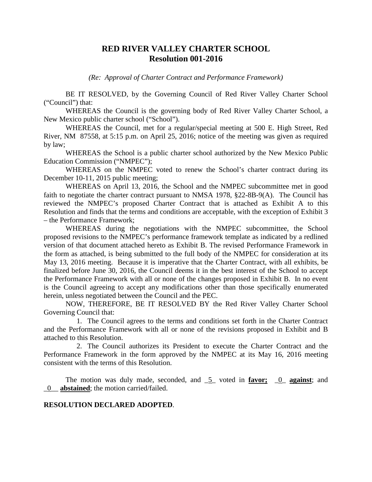## **RED RIVER VALLEY CHARTER SCHOOL Resolution 001-2016**

*(Re: Approval of Charter Contract and Performance Framework)*

BE IT RESOLVED, by the Governing Council of Red River Valley Charter School ("Council") that:

WHEREAS the Council is the governing body of Red River Valley Charter School, a New Mexico public charter school ("School").

WHEREAS the Council, met for a regular/special meeting at 500 E. High Street, Red River, NM 87558, at 5:15 p.m. on April 25, 2016; notice of the meeting was given as required by law;

WHEREAS the School is a public charter school authorized by the New Mexico Public Education Commission ("NMPEC");

WHEREAS on the NMPEC voted to renew the School's charter contract during its December 10-11, 2015 public meeting;

WHEREAS on April 13, 2016, the School and the NMPEC subcommittee met in good faith to negotiate the charter contract pursuant to NMSA 1978,  $\S22-8B-9(A)$ . The Council has reviewed the NMPEC's proposed Charter Contract that is attached as Exhibit A to this Resolution and finds that the terms and conditions are acceptable, with the exception of Exhibit 3 – the Performance Framework;

WHEREAS during the negotiations with the NMPEC subcommittee, the School proposed revisions to the NMPEC's performance framework template as indicated by a redlined version of that document attached hereto as Exhibit B. The revised Performance Framework in the form as attached, is being submitted to the full body of the NMPEC for consideration at its May 13, 2016 meeting. Because it is imperative that the Charter Contract, with all exhibits, be finalized before June 30, 2016, the Council deems it in the best interest of the School to accept the Performance Framework with all or none of the changes proposed in Exhibit B. In no event is the Council agreeing to accept any modifications other than those specifically enumerated herein, unless negotiated between the Council and the PEC.

NOW, THEREFORE, BE IT RESOLVED BY the Red River Valley Charter School Governing Council that:

1. The Council agrees to the terms and conditions set forth in the Charter Contract and the Performance Framework with all or none of the revisions proposed in Exhibit and B attached to this Resolution.

2. The Council authorizes its President to execute the Charter Contract and the Performance Framework in the form approved by the NMPEC at its May 16, 2016 meeting consistent with the terms of this Resolution.

The motion was duly made, seconded, and \_5\_ voted in **favor;** \_0\_ **against**; and \_0\_\_ **abstained**; the motion carried/failed.

## **RESOLUTION DECLARED ADOPTED**.